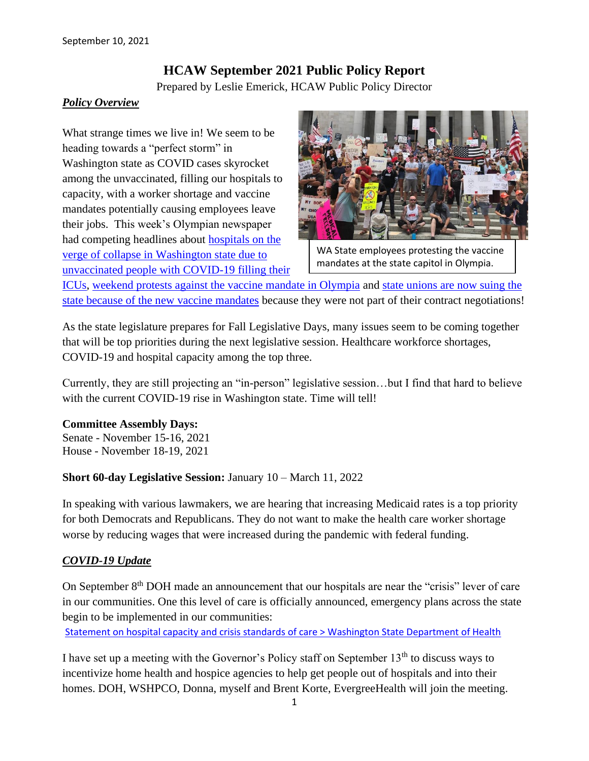# **HCAW September 2021 Public Policy Report**

Prepared by Leslie Emerick, HCAW Public Policy Director

#### *Policy Overview*

What strange times we live in! We seem to be heading towards a "perfect storm" in Washington state as COVID cases skyrocket among the unvaccinated, filling our hospitals to capacity, with a worker shortage and vaccine mandates potentially causing employees leave their jobs. This week's Olympian newspaper had competing headlines about [hospitals on the](https://www.theolympian.com/news/coronavirus/article253856703.html)  [verge of collapse in Washington state due to](https://www.theolympian.com/news/coronavirus/article253856703.html)  [unvaccinated people with COVID-19 filling their](https://www.theolympian.com/news/coronavirus/article253856703.html) 



WA State employees protesting the vaccine mandates at the state capitol in Olympia.

[ICUs,](https://www.theolympian.com/news/coronavirus/article253856703.html) [weekend protests against the vaccine mandate in Olympia](https://www.theolympian.com/news/local/article253821623.html) and [state unions are now suing the](https://edition.pagesuite.com/popovers/dynamic_article_popover.aspx?artguid=f03b7cfd-5cec-4c3f-95c0-83659fca3c10)  [state because of the new vaccine mandates](https://edition.pagesuite.com/popovers/dynamic_article_popover.aspx?artguid=f03b7cfd-5cec-4c3f-95c0-83659fca3c10) because they were not part of their contract negotiations!

As the state legislature prepares for Fall Legislative Days, many issues seem to be coming together that will be top priorities during the next legislative session. Healthcare workforce shortages, COVID-19 and hospital capacity among the top three.

Currently, they are still projecting an "in-person" legislative session…but I find that hard to believe with the current COVID-19 rise in Washington state. Time will tell!

#### **Committee Assembly Days:**

Senate - November 15-16, 2021 House - November 18-19, 2021

#### **Short 60-day Legislative Session:** January 10 – March 11, 2022

In speaking with various lawmakers, we are hearing that increasing Medicaid rates is a top priority for both Democrats and Republicans. They do not want to make the health care worker shortage worse by reducing wages that were increased during the pandemic with federal funding.

#### *COVID-19 Update*

On September 8<sup>th</sup> DOH made an announcement that our hospitals are near the "crisis" lever of care in our communities. One this level of care is officially announced, emergency plans across the state begin to be implemented in our communities:

[Statement on hospital capacity and crisis standards of care > Washington State Department of Health](https://www.doh.wa.gov/Newsroom/Articles/ID/2916/Statement-on-hospital-capacity-and-crisis-standards-of-care)

I have set up a meeting with the Governor's Policy staff on September  $13<sup>th</sup>$  to discuss ways to incentivize home health and hospice agencies to help get people out of hospitals and into their homes. DOH, WSHPCO, Donna, myself and Brent Korte, EvergreeHealth will join the meeting.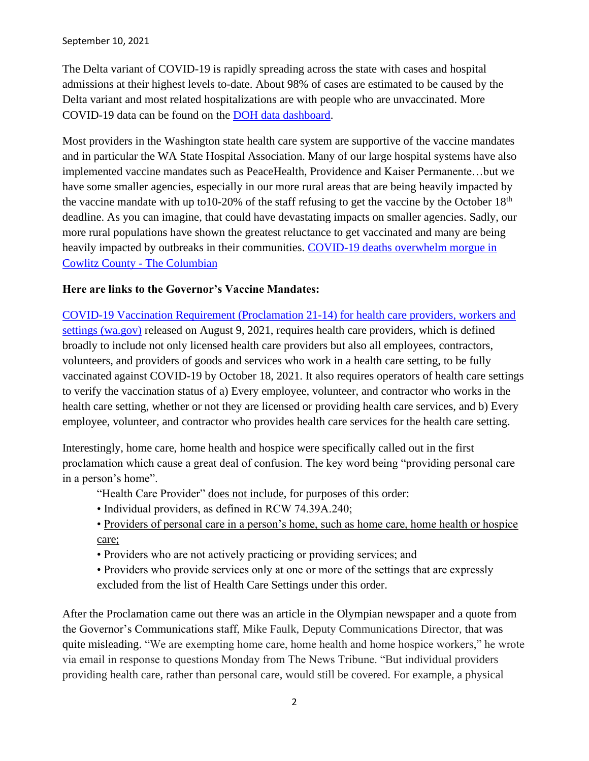The Delta variant of COVID-19 is rapidly spreading across the state with cases and hospital admissions at their highest levels to-date. About 98% of cases are estimated to be caused by the Delta variant and most related hospitalizations are with people who are unvaccinated. More COVID-19 data can be found on the [DOH data dashboard.](https://www.doh.wa.gov/Emergencies/COVID19/DataDashboard)

Most providers in the Washington state health care system are supportive of the vaccine mandates and in particular the WA State Hospital Association. Many of our large hospital systems have also implemented vaccine mandates such as PeaceHealth, Providence and Kaiser Permanente…but we have some smaller agencies, especially in our more rural areas that are being heavily impacted by the vaccine mandate with up to 10-20% of the staff refusing to get the vaccine by the October  $18<sup>th</sup>$ deadline. As you can imagine, that could have devastating impacts on smaller agencies. Sadly, our more rural populations have shown the greatest reluctance to get vaccinated and many are being heavily impacted by outbreaks in their communities. COVID-19 deaths overwhelm morgue in [Cowlitz County -](https://www.columbian.com/news/2021/sep/08/covid-19-deaths-overwhelm-morgue-in-cowlitz-county/) The Columbian

#### **Here are links to the Governor's Vaccine Mandates:**

[COVID-19 Vaccination Requirement \(Proclamation 21-14\) for health care providers, workers and](https://www.doh.wa.gov/Portals/1/Documents/1600/coronavirus/505-160-VaccinationRequirementFAQs.pdf)  [settings \(wa.gov\)](https://www.doh.wa.gov/Portals/1/Documents/1600/coronavirus/505-160-VaccinationRequirementFAQs.pdf) released on August 9, 2021, requires health care providers, which is defined broadly to include not only licensed health care providers but also all employees, contractors, volunteers, and providers of goods and services who work in a health care setting, to be fully vaccinated against COVID-19 by October 18, 2021. It also requires operators of health care settings to verify the vaccination status of a) Every employee, volunteer, and contractor who works in the health care setting, whether or not they are licensed or providing health care services, and b) Every employee, volunteer, and contractor who provides health care services for the health care setting.

Interestingly, home care, home health and hospice were specifically called out in the first proclamation which cause a great deal of confusion. The key word being "providing personal care in a person's home".

"Health Care Provider" does not include, for purposes of this order:

- Individual providers, as defined in RCW 74.39A.240;
- Providers of personal care in a person's home, such as home care, home health or hospice care;
- Providers who are not actively practicing or providing services; and

• Providers who provide services only at one or more of the settings that are expressly excluded from the list of Health Care Settings under this order.

After the Proclamation came out there was an article in the Olympian newspaper and a quote from the Governor's Communications staff, Mike Faulk, Deputy Communications Director, that was quite misleading. ["We are exempting home care, home health and home hospice workers," he wrote](https://gcc02.safelinks.protection.outlook.com/?url=https%3A%2F%2Fwww.theolympian.com%2Fnews%2Fcoronavirus%2Farticle253378868.html&data=04%7C01%7Ctara.lee%40gov.wa.gov%7Ca00db76c4aaa470d1e4808d95cf2a5ef%7C11d0e217264e400a8ba057dcc127d72d%7C0%7C0%7C637643019648796518%7CUnknown%7CTWFpbGZsb3d8eyJWIjoiMC4wLjAwMDAiLCJQIjoiV2luMzIiLCJBTiI6Ik1haWwiLCJXVCI6Mn0%3D%7C2000&sdata=uplUIN34TFns2tMWDDwqz0%2FhA39Zhywl3WKte8NOW9Y%3D&reserved=0)  [via email in response to questions Monday from The News Tribune. "But individual providers](https://gcc02.safelinks.protection.outlook.com/?url=https%3A%2F%2Fwww.theolympian.com%2Fnews%2Fcoronavirus%2Farticle253378868.html&data=04%7C01%7Ctara.lee%40gov.wa.gov%7Ca00db76c4aaa470d1e4808d95cf2a5ef%7C11d0e217264e400a8ba057dcc127d72d%7C0%7C0%7C637643019648796518%7CUnknown%7CTWFpbGZsb3d8eyJWIjoiMC4wLjAwMDAiLCJQIjoiV2luMzIiLCJBTiI6Ik1haWwiLCJXVCI6Mn0%3D%7C2000&sdata=uplUIN34TFns2tMWDDwqz0%2FhA39Zhywl3WKte8NOW9Y%3D&reserved=0)  [providing health care, rather than personal care, would still be covered. For example, a physical](https://gcc02.safelinks.protection.outlook.com/?url=https%3A%2F%2Fwww.theolympian.com%2Fnews%2Fcoronavirus%2Farticle253378868.html&data=04%7C01%7Ctara.lee%40gov.wa.gov%7Ca00db76c4aaa470d1e4808d95cf2a5ef%7C11d0e217264e400a8ba057dcc127d72d%7C0%7C0%7C637643019648796518%7CUnknown%7CTWFpbGZsb3d8eyJWIjoiMC4wLjAwMDAiLCJQIjoiV2luMzIiLCJBTiI6Ik1haWwiLCJXVCI6Mn0%3D%7C2000&sdata=uplUIN34TFns2tMWDDwqz0%2FhA39Zhywl3WKte8NOW9Y%3D&reserved=0)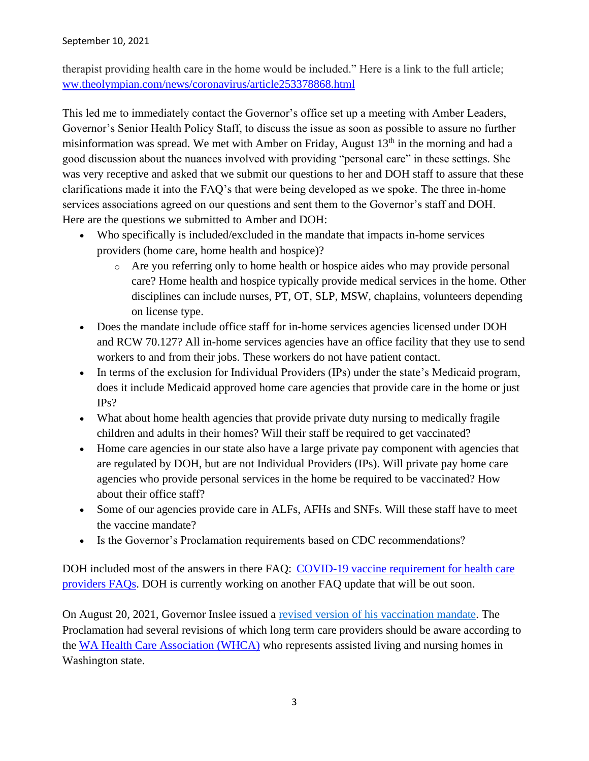[therapist providing health care in the home would be included." Here is a link to the full article;](https://gcc02.safelinks.protection.outlook.com/?url=https%3A%2F%2Fwww.theolympian.com%2Fnews%2Fcoronavirus%2Farticle253378868.html&data=04%7C01%7Ctara.lee%40gov.wa.gov%7Ca00db76c4aaa470d1e4808d95cf2a5ef%7C11d0e217264e400a8ba057dcc127d72d%7C0%7C0%7C637643019648796518%7CUnknown%7CTWFpbGZsb3d8eyJWIjoiMC4wLjAwMDAiLCJQIjoiV2luMzIiLCJBTiI6Ik1haWwiLCJXVCI6Mn0%3D%7C2000&sdata=uplUIN34TFns2tMWDDwqz0%2FhA39Zhywl3WKte8NOW9Y%3D&reserved=0)  [ww.theolympian.com/news/coronavirus/article253378868.html](https://gcc02.safelinks.protection.outlook.com/?url=https%3A%2F%2Fwww.theolympian.com%2Fnews%2Fcoronavirus%2Farticle253378868.html&data=04%7C01%7Ctara.lee%40gov.wa.gov%7Ca00db76c4aaa470d1e4808d95cf2a5ef%7C11d0e217264e400a8ba057dcc127d72d%7C0%7C0%7C637643019648796518%7CUnknown%7CTWFpbGZsb3d8eyJWIjoiMC4wLjAwMDAiLCJQIjoiV2luMzIiLCJBTiI6Ik1haWwiLCJXVCI6Mn0%3D%7C2000&sdata=uplUIN34TFns2tMWDDwqz0%2FhA39Zhywl3WKte8NOW9Y%3D&reserved=0)

This led me to immediately contact the Governor's office set up a meeting with Amber Leaders, Governor's Senior Health Policy Staff, to discuss the issue as soon as possible to assure no further misinformation was spread. We met with Amber on Friday, August  $13<sup>th</sup>$  in the morning and had a good discussion about the nuances involved with providing "personal care" in these settings. She was very receptive and asked that we submit our questions to her and DOH staff to assure that these clarifications made it into the FAQ's that were being developed as we spoke. The three in-home services associations agreed on our questions and sent them to the Governor's staff and DOH. Here are the questions we submitted to Amber and DOH:

- Who specifically is included/excluded in the mandate that impacts in-home services providers (home care, home health and hospice)?
	- o Are you referring only to home health or hospice aides who may provide personal care? Home health and hospice typically provide medical services in the home. Other disciplines can include nurses, PT, OT, SLP, MSW, chaplains, volunteers depending on license type.
- Does the mandate include office staff for in-home services agencies licensed under DOH and RCW 70.127? All in-home services agencies have an office facility that they use to send workers to and from their jobs. These workers do not have patient contact.
- In terms of the exclusion for Individual Providers (IPs) under the state's Medicaid program, does it include Medicaid approved home care agencies that provide care in the home or just IPs?
- What about home health agencies that provide private duty nursing to medically fragile children and adults in their homes? Will their staff be required to get vaccinated?
- Home care agencies in our state also have a large private pay component with agencies that are regulated by DOH, but are not Individual Providers (IPs). Will private pay home care agencies who provide personal services in the home be required to be vaccinated? How about their office staff?
- Some of our agencies provide care in ALFs, AFHs and SNFs. Will these staff have to meet the vaccine mandate?
- Is the Governor's Proclamation requirements based on CDC recommendations?

DOH included most of the answers in there FAQ: COVID-19 vaccine requirement for health care [providers FAQs.](https://lnks.gd/l/eyJhbGciOiJIUzI1NiJ9.eyJidWxsZXRpbl9saW5rX2lkIjoxMDEsInVyaSI6ImJwMjpjbGljayIsImJ1bGxldGluX2lkIjoiMjAyMTA4MTcuNDQ2Njc0MzEiLCJ1cmwiOiJodHRwczovL2djYzAyLnNhZmVsaW5rcy5wcm90ZWN0aW9uLm91dGxvb2suY29tLz91cmw9aHR0cHMlM0ElMkYlMkZ3d3cuZG9oLndhLmdvdiUyRlBvcnRhbHMlMkYxJTJGRG9jdW1lbnRzJTJGMTYwMCUyRmNvcm9uYXZpcnVzJTJGNTA1LTE2MC1WYWNjaW5hdGlvblJlcXVpcmVtZW50RkFRcy5wZGYmZGF0YT0wNCU3QzAxJTdDQWxlamFuZHJvLkxlJTQwZG9oLndhLmdvdiU3QzM2YjZlNDFkYzYxYjQ1MmIwM2RhMDhkOTYxOTRkMWVmJTdDMTFkMGUyMTcyNjRlNDAwYThiYTA1N2RjYzEyN2Q3MmQlN0MwJTdDMCU3QzYzNzY0ODExNDA4MDEyOTA2MiU3Q1Vua25vd24lN0NUV0ZwYkdac2IzZDhleUpXSWpvaU1DNHdMakF3TURBaUxDSlFJam9pVjJsdU16SWlMQ0pCVGlJNklrMWhhV3dpTENKWFZDSTZNbjAlM0QlN0MxMDAwJnNkYXRhPUVpRkdJem9JdGRCNmFmTFdBWHo1NTFCOSUyQk1tbHdTdXZ5TEklMkJmRnJ2bmI4JTNEJnJlc2VydmVkPTAifQ.6HfByLfowz526NRlv8a2J8a43urPikY43NFW5Tqn6yE/s/716477290/br/111032598804-l) DOH is currently working on another FAQ update that will be out soon.

On August 20, 2021, Governor Inslee issued a [revised version of his vaccination mandate.](https://urldefense.proofpoint.com/v2/url?u=https-3A__www.governor.wa.gov_sites_default_files_proclamations_21-2D14.1-2520-2D-2520COVID-2D19-2520Vax-2520Washington-2520Amendment.pdf&d=DwMFAg&c=KoC5GYBOIefzxGAm2j6cjFf-Gz7ANghQIP9aFG9DuBs&r=JFSX2FZr_wMld8njq9RXTR5nVpfLZCXhK8TJJ2jqEeE&m=xMR3j5DPx4RvwdqzcoI-AL7HHvlOlGaCtpeGgeV2GhQ&s=9ZLCNdlkGIxoFQrqnDJyVHtkC44-a2rYs4zje-868pA&e=) The Proclamation had several revisions of which long term care providers should be aware according to the [WA Health Care Association \(WHCA\)](https://www.whca.org/covid-19-resources/) who represents assisted living and nursing homes in Washington state.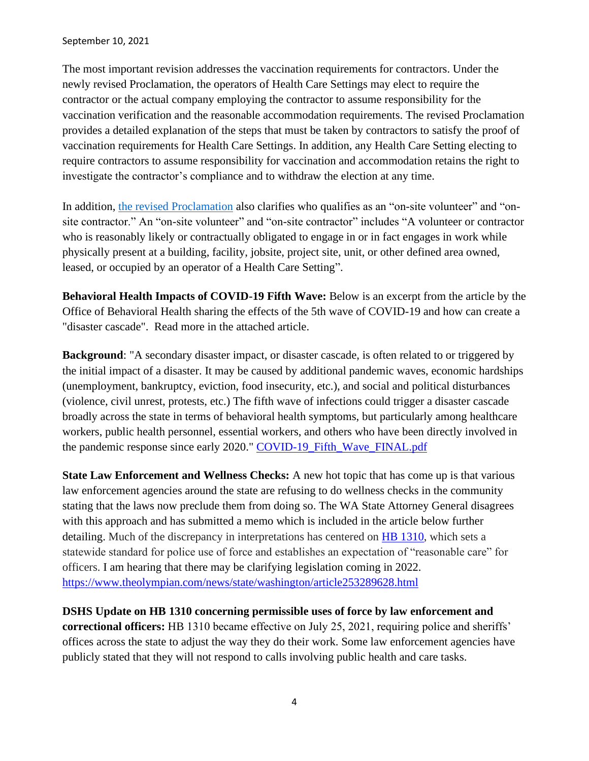The most important revision addresses the vaccination requirements for contractors. Under the newly revised Proclamation, the operators of Health Care Settings may elect to require the contractor or the actual company employing the contractor to assume responsibility for the vaccination verification and the reasonable accommodation requirements. The revised Proclamation provides a detailed explanation of the steps that must be taken by contractors to satisfy the proof of vaccination requirements for Health Care Settings. In addition, any Health Care Setting electing to require contractors to assume responsibility for vaccination and accommodation retains the right to investigate the contractor's compliance and to withdraw the election at any time.

In addition, [the revised Proclamation](https://urldefense.proofpoint.com/v2/url?u=https-3A__www.governor.wa.gov_sites_default_files_proclamations_21-2D14.1-2520-2D-2520COVID-2D19-2520Vax-2520Washington-2520Amendment.pdf&d=DwMFAg&c=KoC5GYBOIefzxGAm2j6cjFf-Gz7ANghQIP9aFG9DuBs&r=JFSX2FZr_wMld8njq9RXTR5nVpfLZCXhK8TJJ2jqEeE&m=xMR3j5DPx4RvwdqzcoI-AL7HHvlOlGaCtpeGgeV2GhQ&s=9ZLCNdlkGIxoFQrqnDJyVHtkC44-a2rYs4zje-868pA&e=) also clarifies who qualifies as an "on-site volunteer" and "onsite contractor." An "on-site volunteer" and "on-site contractor" includes "A volunteer or contractor who is reasonably likely or contractually obligated to engage in or in fact engages in work while physically present at a building, facility, jobsite, project site, unit, or other defined area owned, leased, or occupied by an operator of a Health Care Setting".

**Behavioral Health Impacts of COVID-19 Fifth Wave:** Below is an excerpt from the article by the Office of Behavioral Health sharing the effects of the 5th wave of COVID-19 and how can create a "disaster cascade". Read more in the attached article.

**Background**: "A secondary disaster impact, or disaster cascade, is often related to or triggered by the initial impact of a disaster. It may be caused by additional pandemic waves, economic hardships (unemployment, bankruptcy, eviction, food insecurity, etc.), and social and political disturbances (violence, civil unrest, protests, etc.) The fifth wave of infections could trigger a disaster cascade broadly across the state in terms of behavioral health symptoms, but particularly among healthcare workers, public health personnel, essential workers, and others who have been directly involved in the pandemic response since early 2020." [COVID-19\\_Fifth\\_Wave\\_FINAL.pdf](https://nam12.safelinks.protection.outlook.com/?url=https%3A%2F%2Flnks.gd%2Fl%2FeyJhbGciOiJIUzI1NiJ9.eyJidWxsZXRpbl9saW5rX2lkIjoxMDAsInVyaSI6ImJwMjpjbGljayIsImJ1bGxldGluX2lkIjoiMjAyMTA4MjUuNDUwNTE1NDEiLCJ1cmwiOiJodHRwczovL2NvbnRlbnQuZ292ZGVsaXZlcnkuY29tL2F0dGFjaG1lbnRzL1dBRE9ILzIwMjEvMDgvMjUvZmlsZV9hdHRhY2htZW50cy8xOTE2MzY5L0NPVklELTE5X0ZpZnRoX1dhdmVfRklOQUwucGRmIn0.Ig4EPCMVvYernJcn3pSwu4M0tLEC2pBhYECaNxAD90E%2Fs%2F717258116%2Fbr%2F111428115900-l&data=04%7C01%7Csusansauder%40yvmh.org%7C1f16945ce10540bac4e308d968188582%7Cbb8fe7e2565746088c1bacdef0e5e69c%7C0%7C0%7C637655277002668089%7CUnknown%7CTWFpbGZsb3d8eyJWIjoiMC4wLjAwMDAiLCJQIjoiV2luMzIiLCJBTiI6Ik1haWwiLCJXVCI6Mn0%3D%7C1000&sdata=Xf7lu8uYxi9R2loZqqcyKHa8HsM1ImDVZqmn7NfqE30%3D&reserved=0)

**State Law Enforcement and Wellness Checks:** A new hot topic that has come up is that various law enforcement agencies around the state are refusing to do wellness checks in the community stating that the laws now preclude them from doing so. The WA State Attorney General disagrees with this approach and has submitted a memo which is included in the article below further detailing. Much of the discrepancy in interpretations has centered on [HB 1310,](https://app.leg.wa.gov/billsummary?BillNumber=1310&Year=2021&Initiative=false) which sets a statewide standard for police use of force and establishes an expectation of "reasonable care" for officers. I am hearing that there may be clarifying legislation coming in 2022. <https://www.theolympian.com/news/state/washington/article253289628.html>

**DSHS Update on HB 1310 concerning permissible uses of force by law enforcement and correctional officers:** HB 1310 became effective on July 25, 2021, requiring police and sheriffs' offices across the state to adjust the way they do their work. Some law enforcement agencies have publicly stated that they will not respond to calls involving public health and care tasks.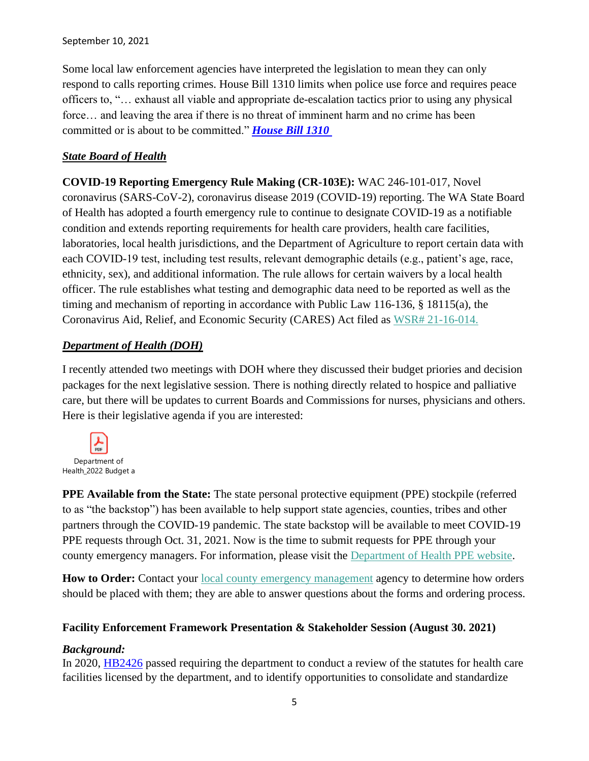Some local law enforcement agencies have interpreted the legislation to mean they can only respond to calls reporting crimes. House Bill 1310 limits when police use force and requires peace officers to, "… exhaust all viable and appropriate de-escalation tactics prior to using any physical force… and leaving the area if there is no threat of imminent harm and no crime has been committed or is about to be committed." *[House Bill 1310](https://lnks.gd/l/eyJhbGciOiJIUzI1NiJ9.eyJidWxsZXRpbl9saW5rX2lkIjoxMDAsInVyaSI6ImJwMjpjbGljayIsImJ1bGxldGluX2lkIjoiMjAyMTA5MTAuNDU3NDc2MTEiLCJ1cmwiOiJodHRwczovL2NvbnRlbnQuZ292ZGVsaXZlcnkuY29tL2F0dGFjaG1lbnRzL1dBRFNIU0REQS8yMDIxLzA5LzA5L2ZpbGVfYXR0YWNobWVudHMvMTkzMDE3NS9Ib3VzZSUyMEJpbGwlMjAxMzEwLnBkZiJ9.J2h_I7c8klZ_G3Ke_ywVfti2U9z2SeiVCcIDUSFL-_4/s/815324957/br/112177341243-l)*

### *State Board of Health*

**COVID-19 Reporting Emergency Rule Making (CR-103E):** WAC 246-101-017, Novel coronavirus (SARS-CoV-2), coronavirus disease 2019 (COVID-19) reporting. The WA State Board of Health has adopted a fourth emergency rule to continue to designate COVID-19 as a notifiable condition and extends reporting requirements for health care providers, health care facilities, laboratories, local health jurisdictions, and the Department of Agriculture to report certain data with each COVID-19 test, including test results, relevant demographic details (e.g., patient's age, race, ethnicity, sex), and additional information. The rule allows for certain waivers by a local health officer. The rule establishes what testing and demographic data need to be reported as well as the timing and mechanism of reporting in accordance with Public Law 116-136, § 18115(a), the Coronavirus Aid, Relief, and Economic Security (CARES) Act filed as [WSR# 21-16-014.](https://lnks.gd/l/eyJhbGciOiJIUzI1NiJ9.eyJidWxsZXRpbl9saW5rX2lkIjoxMDcsInVyaSI6ImJwMjpjbGljayIsImJ1bGxldGluX2lkIjoiMjAyMTA4MTMuNDQ1MzcwODEiLCJ1cmwiOiJodHRwczovL3d3dy5kb2gud2EuZ292L1BvcnRhbHMvMS9Eb2N1bWVudHMvMTEwMC8yMTE2L0NPVklEMTlfV1NSMjExNjAxNFNCT0hjb3ZpZHJlcG9ydGluZzR0aDEwM0VmaW5hbF8yMDIxMDcyMy5wZGYifQ.iAj9ksTkpxI3n3Fwz7oaFgAPHVbWygCc7eLCTluq0TY/s/717258116/br/110879746830-l)

### *Department of Health (DOH)*

I recently attended two meetings with DOH where they discussed their budget priories and decision packages for the next legislative session. There is nothing directly related to hospice and palliative care, but there will be updates to current Boards and Commissions for nurses, physicians and others. Here is their legislative agenda if you are interested:



**PPE Available from the State:** The state personal protective equipment (PPE) stockpile (referred to as "the backstop") has been available to help support state agencies, counties, tribes and other partners through the COVID-19 pandemic. The state backstop will be available to meet COVID-19 PPE requests through Oct. 31, 2021. Now is the time to submit requests for PPE through your county emergency managers. For information, please visit the [Department of Health PPE website.](https://na01.safelinks.protection.outlook.com/?url=https%3A%2F%2Flnks.gd%2Fl%2FeyJhbGciOiJIUzI1NiJ9.eyJidWxsZXRpbl9saW5rX2lkIjoxMDIsInVyaSI6ImJwMjpjbGljayIsImJ1bGxldGluX2lkIjoiMjAyMTA4MjAuNDQ4Mzk0NzEiLCJ1cmwiOiJodHRwczovL3d3dy5kb2gud2EuZ292L0Fib3V0VXMvUHJvZ3JhbXNhbmRTZXJ2aWNlcy9FbWVyZ2VuY3lQcmVwYXJlZG5lc3NhbmRSZXNwb25zZS9QUEVCYWNrc3RvcCNoZWFkaW5nOTA4MjQifQ.tl6sF4zJ_WWr_Nz1IC6J2lL24Ne9snmqovVoiwuwv20%2Fs%2F716479064%2Fbr%2F111217652096-l&data=04%7C01%7C%7C716cc12681834c9b1b8b08d96400e775%7C84df9e7fe9f640afb435aaaaaaaaaaaa%7C1%7C0%7C637650777307601406%7CUnknown%7CTWFpbGZsb3d8eyJWIjoiMC4wLjAwMDAiLCJQIjoiV2luMzIiLCJBTiI6Ik1haWwiLCJXVCI6Mn0%3D%7C1000&sdata=qV9nz2iGbtg2I05REx3ZQEYiE2Y3Y6iwYWr0mEM8mrQ%3D&reserved=0)

**How to Order:** Contact your [local county emergency management](https://na01.safelinks.protection.outlook.com/?url=https%3A%2F%2Flnks.gd%2Fl%2FeyJhbGciOiJIUzI1NiJ9.eyJidWxsZXRpbl9saW5rX2lkIjoxMDEsInVyaSI6ImJwMjpjbGljayIsImJ1bGxldGluX2lkIjoiMjAyMTA4MjAuNDQ4Mzk0NzEiLCJ1cmwiOiJodHRwczovL2FjY2Vzcy53YS5nb3YvdG9waWNzL2VtZXJnZW5jeS9yZXNvdXJjZXMvQ29udGFjdC9MaXN0Lmh0bWwifQ.8msIUdxOz4HVKkm453mg56smj0j-fmz2DoWT83yYmgc%2Fs%2F716479064%2Fbr%2F111217652096-l&data=04%7C01%7C%7C716cc12681834c9b1b8b08d96400e775%7C84df9e7fe9f640afb435aaaaaaaaaaaa%7C1%7C0%7C637650777307601406%7CUnknown%7CTWFpbGZsb3d8eyJWIjoiMC4wLjAwMDAiLCJQIjoiV2luMzIiLCJBTiI6Ik1haWwiLCJXVCI6Mn0%3D%7C1000&sdata=U0H%2Fj5JIWzM4pTv9k9EaV93D1oEdqn5sZoBwqd5F%2B8s%3D&reserved=0) agency to determine how orders should be placed with them; they are able to answer questions about the forms and ordering process.

### **Facility Enforcement Framework Presentation & Stakeholder Session (August 30. 2021)**

### *Background:*

In 2020, [HB2426](https://lnks.gd/l/eyJhbGciOiJIUzI1NiJ9.eyJidWxsZXRpbl9saW5rX2lkIjoxMDIsInVyaSI6ImJwMjpjbGljayIsImJ1bGxldGluX2lkIjoiMjAyMTA4MTguNDQ3NDQzNTEiLCJ1cmwiOiJodHRwczovL2djYzAyLnNhZmVsaW5rcy5wcm90ZWN0aW9uLm91dGxvb2suY29tLz91cmw9aHR0cCUzQSUyRiUyRmxhd2ZpbGVzZXh0LmxlZy53YS5nb3YlMkZiaWVubml1bSUyRjIwMTktMjAlMkZQZGYlMkZCaWxscyUyRlNlc3Npb24lMjUyMExhd3MlMkZIb3VzZSUyRjI0MjYtUy5TTC5wZGYlM0ZxJTNEMjAyMTA4MTcxNTUwMDkmZGF0YT0wNCU3QzAxJTdDQWxlamFuZHJvLkxlJTQwZG9oLndhLmdvdiU3QzBmN2JmZWU5ZmMwMzRmYWRlNmIxMDhkOTYyOGI1MTRiJTdDMTFkMGUyMTcyNjRlNDAwYThiYTA1N2RjYzEyN2Q3MmQlN0MwJTdDMCU3QzYzNzY0OTE3Mjc2NzA0MTYwNiU3Q1Vua25vd24lN0NUV0ZwYkdac2IzZDhleUpXSWpvaU1DNHdMakF3TURBaUxDSlFJam9pVjJsdU16SWlMQ0pCVGlJNklrMWhhV3dpTENKWFZDSTZNbjAlM0QlN0MxMDAwJnNkYXRhPVAwaGRHdlRxeFpxam1JTng4RnZiJTJCMjEyWUlHUndwZ2k3ZGNUNzZ0d1RJYyUzRCZyZXNlcnZlZD0wIn0.abTJBsNRz7jdnXd8d_O7aHxJLHLw6EYiYfT3SFqeY80/s/717258116/br/111111813345-l) passed requiring the department to conduct a review of the statutes for health care facilities licensed by the department, and to identify opportunities to consolidate and standardize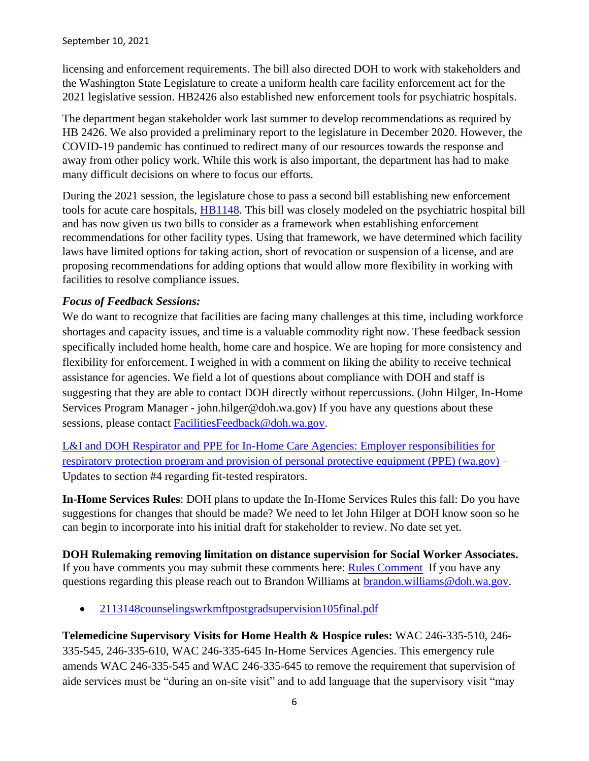licensing and enforcement requirements. The bill also directed DOH to work with stakeholders and the Washington State Legislature to create a uniform health care facility enforcement act for the 2021 legislative session. HB2426 also established new enforcement tools for psychiatric hospitals.

The department began stakeholder work last summer to develop recommendations as required by HB 2426. We also provided a preliminary report to the legislature in December 2020. However, the COVID-19 pandemic has continued to redirect many of our resources towards the response and away from other policy work. While this work is also important, the department has had to make many difficult decisions on where to focus our efforts.

During the 2021 session, the legislature chose to pass a second bill establishing new enforcement tools for acute care hospitals, [HB1148.](https://lnks.gd/l/eyJhbGciOiJIUzI1NiJ9.eyJidWxsZXRpbl9saW5rX2lkIjoxMDMsInVyaSI6ImJwMjpjbGljayIsImJ1bGxldGluX2lkIjoiMjAyMTA4MTguNDQ3NDQzNTEiLCJ1cmwiOiJodHRwczovL2djYzAyLnNhZmVsaW5rcy5wcm90ZWN0aW9uLm91dGxvb2suY29tLz91cmw9aHR0cCUzQSUyRiUyRmxhd2ZpbGVzZXh0LmxlZy53YS5nb3YlMkZiaWVubml1bSUyRjIwMjEtMjIlMkZQZGYlMkZCaWxscyUyRkhvdXNlJTI1MjBQYXNzZWQlMjUyMExlZ2lzbGF0dXJlJTJGMTE0OC1TMi5QTC5wZGYlM0ZxJTNEMjAyMTA4MTcxNTUyMjkmZGF0YT0wNCU3QzAxJTdDQWxlamFuZHJvLkxlJTQwZG9oLndhLmdvdiU3QzBmN2JmZWU5ZmMwMzRmYWRlNmIxMDhkOTYyOGI1MTRiJTdDMTFkMGUyMTcyNjRlNDAwYThiYTA1N2RjYzEyN2Q3MmQlN0MwJTdDMCU3QzYzNzY0OTE3Mjc2NzA1MTU2MCU3Q1Vua25vd24lN0NUV0ZwYkdac2IzZDhleUpXSWpvaU1DNHdMakF3TURBaUxDSlFJam9pVjJsdU16SWlMQ0pCVGlJNklrMWhhV3dpTENKWFZDSTZNbjAlM0QlN0MxMDAwJnNkYXRhPXNHVHFabEFWV0ZiUyUyRjJzMkVWQzNmMTZWUk1GVXBzMzZkVkJSRiUyQklyMHJVJTNEJnJlc2VydmVkPTAifQ.G83TzBcUhJlgrxjQydN3qVdx9VEx_TrlfaWijE7x53A/s/717258116/br/111111813345-l) This bill was closely modeled on the psychiatric hospital bill and has now given us two bills to consider as a framework when establishing enforcement recommendations for other facility types. Using that framework, we have determined which facility laws have limited options for taking action, short of revocation or suspension of a license, and are proposing recommendations for adding options that would allow more flexibility in working with facilities to resolve compliance issues.

### *Focus of Feedback Sessions:*

We do want to recognize that facilities are facing many challenges at this time, including workforce shortages and capacity issues, and time is a valuable commodity right now. These feedback session specifically included home health, home care and hospice. We are hoping for more consistency and flexibility for enforcement. I weighed in with a comment on liking the ability to receive technical assistance for agencies. We field a lot of questions about compliance with DOH and staff is suggesting that they are able to contact DOH directly without repercussions. (John Hilger, In-Home Services Program Manager - john.hilger@doh.wa.gov) If you have any questions about these sessions, please contact [FacilitiesFeedback@doh.wa.gov.](mailto:FacilitiesFeedback@doh.wa.gov)

[L&I and DOH Respirator and PPE for In-Home Care Agencies: Employer responsibilities for](https://lnks.gd/l/eyJhbGciOiJIUzI1NiJ9.eyJidWxsZXRpbl9saW5rX2lkIjoxNDQsInVyaSI6ImJwMjpjbGljayIsImJ1bGxldGluX2lkIjoiMjAyMTA4MjcuNDUxNTMzMzEiLCJ1cmwiOiJodHRwczovL3d3dy5kb2gud2EuZ292L1BvcnRhbHMvMS9Eb2N1bWVudHMvMTYwMC9jb3JvbmF2aXJ1cy80MjAtMzI5LVJlc3BpcmF0b3JQUEVJbkhvbWVDYXJlLnBkZiJ9.okbTUuSpEx9EnIJzPF5PqoeOMVpuin4uAm8Q_x3sA5U/s/717258116/br/111535260047-l)  [respiratory protection program and provision of personal protective equipment \(PPE\) \(wa.gov\)](https://lnks.gd/l/eyJhbGciOiJIUzI1NiJ9.eyJidWxsZXRpbl9saW5rX2lkIjoxNDQsInVyaSI6ImJwMjpjbGljayIsImJ1bGxldGluX2lkIjoiMjAyMTA4MjcuNDUxNTMzMzEiLCJ1cmwiOiJodHRwczovL3d3dy5kb2gud2EuZ292L1BvcnRhbHMvMS9Eb2N1bWVudHMvMTYwMC9jb3JvbmF2aXJ1cy80MjAtMzI5LVJlc3BpcmF0b3JQUEVJbkhvbWVDYXJlLnBkZiJ9.okbTUuSpEx9EnIJzPF5PqoeOMVpuin4uAm8Q_x3sA5U/s/717258116/br/111535260047-l) – Updates to section #4 regarding fit-tested respirators.

**In-Home Services Rules**: DOH plans to update the In-Home Services Rules this fall: Do you have suggestions for changes that should be made? We need to let John Hilger at DOH know soon so he can begin to incorporate into his initial draft for stakeholder to review. No date set yet.

**DOH Rulemaking removing limitation on distance supervision for Social Worker Associates.** If you have comments you may submit these comments here: [Rules Comment](https://lnks.gd/l/eyJhbGciOiJIUzI1NiJ9.eyJidWxsZXRpbl9saW5rX2lkIjoxMDAsInVyaSI6ImJwMjpjbGljayIsImJ1bGxldGluX2lkIjoiMjAyMTA3MDIuNDI3Njk1NjEiLCJ1cmwiOiJodHRwczovL2djYzAyLnNhZmVsaW5rcy5wcm90ZWN0aW9uLm91dGxvb2suY29tLz91cmw9aHR0cHMlM0ElMkYlMkZmb3J0cmVzcy53YS5nb3YlMkZkb2glMkZwb2xpY3lyZXZpZXclMkYmZGF0YT0wNCU3QzAxJTdDQnJhbmRvbi5XaWxsaWFtcyU0MERPSC5XQS5HT1YlN0M1OWI5MDI2YzFhNTU0NmIxNzZmNTA4ZDkzNjc0NzBhNiU3QzExZDBlMjE3MjY0ZTQwMGE4YmEwNTdkY2MxMjdkNzJkJTdDMCU3QzAlN0M2Mzc2MDA2OTU5OTI0NjczOTklN0NVbmtub3duJTdDVFdGcGJHWnNiM2Q4ZXlKV0lqb2lNQzR3TGpBd01EQWlMQ0pRSWpvaVYybHVNeklpTENKQlRpSTZJazFoYVd3aUxDSlhWQ0k2TW4wJTNEJTdDMTAwMCZzZGF0YT1NR3BxYUpkRG9uWXJNc0FwMk1Wa3FrQTJxTG5wJTJCYUpheFJUQmY2WXF4Z3MlM0QmcmVzZXJ2ZWQ9MCJ9.IgKnoLTJYTNVcCxQpHvoHwSZIkveaacwfD3wwreU388/s/717258116/br/108820302323-l) If you have any questions regarding this please reach out to Brandon Williams at **brandon**.williams@doh.wa.gov.

• [2113148counselingswrkmftpostgradsupervision105final.pdf](https://lnks.gd/l/eyJhbGciOiJIUzI1NiJ9.eyJidWxsZXRpbl9saW5rX2lkIjoxMDEsInVyaSI6ImJwMjpjbGljayIsImJ1bGxldGluX2lkIjoiMjAyMTA3MDIuNDI3Njk1NjEiLCJ1cmwiOiJodHRwczovL2NvbnRlbnQuZ292ZGVsaXZlcnkuY29tL2F0dGFjaG1lbnRzL1dBRE9ILzIwMjEvMDcvMDIvZmlsZV9hdHRhY2htZW50cy8xODcwNTEwLzIxMTMxNDhjb3Vuc2VsaW5nc3dya21mdHBvc3RncmFkc3VwZXJ2aXNpb24xMDVmaW5hbC5wZGYifQ.ls0Bw36s7XNsR6KP53OeepJDV5gTB8OHkpGryVFS9rc/s/717258116/br/108820302323-l)

**Telemedicine Supervisory Visits for Home Health & Hospice rules:** WAC 246-335-510, 246- 335-545, 246-335-610, WAC 246-335-645 In-Home Services Agencies. This emergency rule amends WAC 246-335-545 and WAC 246-335-645 to remove the requirement that supervision of aide services must be "during an on-site visit" and to add language that the supervisory visit "may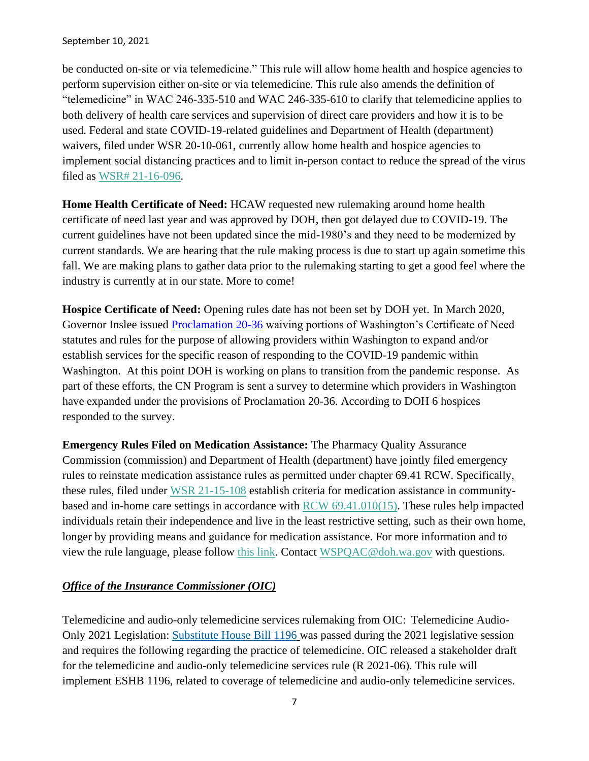be conducted on-site or via telemedicine." This rule will allow home health and hospice agencies to perform supervision either on-site or via telemedicine. This rule also amends the definition of "telemedicine" in WAC 246-335-510 and WAC 246-335-610 to clarify that telemedicine applies to both delivery of health care services and supervision of direct care providers and how it is to be used. Federal and state COVID-19-related guidelines and Department of Health (department) waivers, filed under WSR 20-10-061, currently allow home health and hospice agencies to implement social distancing practices and to limit in-person contact to reduce the spread of the virus filed as [WSR# 21-16-096.](https://lnks.gd/l/eyJhbGciOiJIUzI1NiJ9.eyJidWxsZXRpbl9saW5rX2lkIjoxMDgsInVyaSI6ImJwMjpjbGljayIsImJ1bGxldGluX2lkIjoiMjAyMTA4MTMuNDQ1MzcwODEiLCJ1cmwiOiJodHRwczovL3d3dy5kb2gud2EuZ292L1BvcnRhbHMvMS9Eb2N1bWVudHMvMTEwMC8yMTE2LzIxMTYwOTZpbmhvbWVzZXJ2aWNlYWdlbmNpZXNyZW1vdmVyZXFvZnN1cGVydmlzaW9ub2ZhaWQxMDNFZmluYWwucGRmIn0.zAd7LVrLD8lkCfaLqGZKV3JixbUTbHZtaJ9hDrINs04/s/717258116/br/110879746830-l)

**Home Health Certificate of Need:** HCAW requested new rulemaking around home health certificate of need last year and was approved by DOH, then got delayed due to COVID-19. The current guidelines have not been updated since the mid-1980's and they need to be modernized by current standards. We are hearing that the rule making process is due to start up again sometime this fall. We are making plans to gather data prior to the rulemaking starting to get a good feel where the industry is currently at in our state. More to come!

**Hospice Certificate of Need:** Opening rules date has not been set by DOH yet. In March 2020, Governor Inslee issued **Proclamation 20-36** waiving portions of Washington's Certificate of Need statutes and rules for the purpose of allowing providers within Washington to expand and/or establish services for the specific reason of responding to the COVID-19 pandemic within Washington. At this point DOH is working on plans to transition from the pandemic response. As part of these efforts, the CN Program is sent a survey to determine which providers in Washington have expanded under the provisions of Proclamation 20-36. According to DOH 6 hospices responded to the survey.

**Emergency Rules Filed on Medication Assistance:** The Pharmacy Quality Assurance Commission (commission) and Department of Health (department) have jointly filed emergency rules to reinstate medication assistance rules as permitted under chapter 69.41 RCW. Specifically, these rules, filed under [WSR 21-15-108](https://lnks.gd/l/eyJhbGciOiJIUzI1NiJ9.eyJidWxsZXRpbl9saW5rX2lkIjoxMDEsInVyaSI6ImJwMjpjbGljayIsImJ1bGxldGluX2lkIjoiMjAyMTA3MjYuNDM3MjY5MjEiLCJ1cmwiOiJodHRwczovL2NvbnRlbnQuZ292ZGVsaXZlcnkuY29tL2F0dGFjaG1lbnRzL1dBRE9ILzIwMjEvMDcvMjYvZmlsZV9hdHRhY2htZW50cy8xODg4Njg0L1dTUjIxMTUxMDhwaGFybWFjeW1lZGljYXRpb25hc3Npc3RhbmNlMTAzZWZpbmFsLnBkZiJ9.rgNlZsR4Q1GlqI7u8w9Vc68MRVlLw_hUDm9l_vusu2s/s/717258116/br/109942125099-l) establish criteria for medication assistance in communitybased and in-home care settings in accordance with [RCW 69.41.010\(15\).](https://lnks.gd/l/eyJhbGciOiJIUzI1NiJ9.eyJidWxsZXRpbl9saW5rX2lkIjoxMDIsInVyaSI6ImJwMjpjbGljayIsImJ1bGxldGluX2lkIjoiMjAyMTA3MjYuNDM3MjY5MjEiLCJ1cmwiOiJodHRwczovL2FwcC5sZWcud2EuZ292L1JDVy9kZWZhdWx0LmFzcHg_Y2l0ZT02OS40MS4wMTAifQ.sG6J82QbLgXSy6-PWvASO4iL_RQnwy4hvSiDOrbr24g/s/717258116/br/109942125099-l) These rules help impacted individuals retain their independence and live in the least restrictive setting, such as their own home, longer by providing means and guidance for medication assistance. For more information and to view the rule language, please follow [this link.](https://lnks.gd/l/eyJhbGciOiJIUzI1NiJ9.eyJidWxsZXRpbl9saW5rX2lkIjoxMDMsInVyaSI6ImJwMjpjbGljayIsImJ1bGxldGluX2lkIjoiMjAyMTA3MjYuNDM3MjY5MjEiLCJ1cmwiOiJodHRwczovL2NvbnRlbnQuZ292ZGVsaXZlcnkuY29tL2F0dGFjaG1lbnRzL1dBRE9ILzIwMjEvMDcvMjYvZmlsZV9hdHRhY2htZW50cy8xODg4Njg0L1dTUjIxMTUxMDhwaGFybWFjeW1lZGljYXRpb25hc3Npc3RhbmNlMTAzZWZpbmFsLnBkZiJ9.XbGpZlG_kPeCBM_HV0SwMWaTcbLYDBiiaoBCHixY3Vs/s/717258116/br/109942125099-l) Contact [WSPQAC@doh.wa.gov](mailto:WSPQAC@doh.wa.gov) with questions.

### *Office of the Insurance Commissioner (OIC)*

Telemedicine and audio-only telemedicine services rulemaking from OIC: Telemedicine Audio-Only 2021 Legislation: [Substitute House Bill 1196](https://na01.safelinks.protection.outlook.com/?url=https%3A%2F%2Flnks.gd%2Fl%2FeyJhbGciOiJIUzI1NiJ9.eyJidWxsZXRpbl9saW5rX2lkIjoxMDEsInVyaSI6ImJwMjpjbGljayIsImJ1bGxldGluX2lkIjoiMjAyMTA3MDkuNDMwMzcxNzEiLCJ1cmwiOiJodHRwOi8vbGF3ZmlsZXNleHQubGVnLndhLmdvdi9iaWVubml1bS8yMDIxLTIyL1BkZi9CaWxscy9Ib3VzZSUyMFBhc3NlZCUyMExlZ2lzbGF0dXJlLzExOTYtUy5QTC5wZGY_cT0yMDIxMDYwMjExMDAwNSJ9.CK-2KCexuR4Ynttl7qqhJURFe41wwpAFROzVFTyPBYM%2Fs%2F946843739%2Fbr%2F109121952329-l&data=04%7C01%7C%7C924e6dc6311f4ca8261608d94332a71a%7C84df9e7fe9f640afb435aaaaaaaaaaaa%7C1%7C0%7C637614707105838099%7CUnknown%7CTWFpbGZsb3d8eyJWIjoiMC4wLjAwMDAiLCJQIjoiV2luMzIiLCJBTiI6Ik1haWwiLCJXVCI6Mn0%3D%7C1000&sdata=FlG0FByQz5c7N5BKza%2FpWm7Vs9a9eRkFsZpQ9rPlsmU%3D&reserved=0) was passed during the 2021 legislative session and requires the following regarding the practice of telemedicine. OIC released a stakeholder draft for the telemedicine and audio-only telemedicine services rule (R 2021-06). This rule will implement ESHB 1196, related to coverage of telemedicine and audio-only telemedicine services.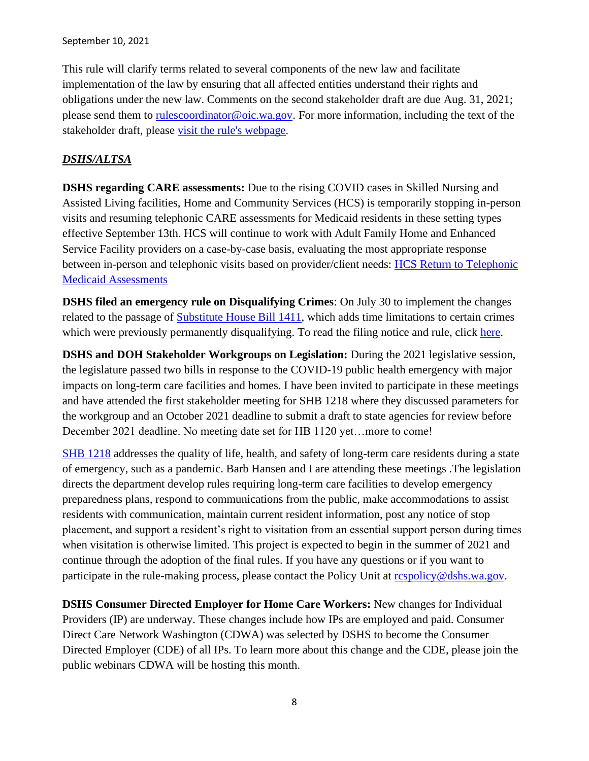This rule will clarify terms related to several components of the new law and facilitate implementation of the law by ensuring that all affected entities understand their rights and obligations under the new law. Comments on the second stakeholder draft are due Aug. 31, 2021; please send them to [rulescoordinator@oic.wa.gov.](mailto:rulesc@oic.wa.gov) For more information, including the text of the stakeholder draft, please [visit the rule's webpage](https://lnks.gd/l/eyJhbGciOiJIUzI1NiJ9.eyJidWxsZXRpbl9saW5rX2lkIjoxMDAsInVyaSI6ImJwMjpjbGljayIsImJ1bGxldGluX2lkIjoiMjAyMTA4MjAuNDQ4MzgyOTEiLCJ1cmwiOiJodHRwczovL3d3dy5pbnN1cmFuY2Uud2EuZ292L3RlbGVtZWRpY2luZS1hbmQtYXVkaW8tb25seS10ZWxlbWVkaWNpbmUtc2VydmljZXMtci0yMDIxLTA2P3V0bV9jb250ZW50PSZ1dG1fbWVkaXVtPWVtYWlsJnV0bV9uYW1lPSZ1dG1fc291cmNlPWdvdmRlbGl2ZXJ5JnV0bV90ZXJtPSJ9.PHJFnbfDEYmFpYlS8GmkpB_MMNq4Hy_gy3MIbl_AUn8/s/378224492/br/111216796808-l).

# *DSHS/ALTSA*

**DSHS regarding CARE assessments:** Due to the rising COVID cases in Skilled Nursing and Assisted Living facilities, Home and Community Services (HCS) is temporarily stopping in-person visits and resuming telephonic CARE assessments for Medicaid residents in these setting types effective September 13th. HCS will continue to work with Adult Family Home and Enhanced Service Facility providers on a case-by-case basis, evaluating the most appropriate response between in-person and telephonic visits based on provider/client needs: HCS Return to Telephonic [Medicaid Assessments](https://lnks.gd/l/eyJhbGciOiJIUzI1NiJ9.eyJidWxsZXRpbl9saW5rX2lkIjoxMDEsInVyaSI6ImJwMjpjbGljayIsImJ1bGxldGluX2lkIjoiMjAyMTA5MTAuNDU3ODAyNjEiLCJ1cmwiOiJodHRwczovL2NvbnRlbnQuZ292ZGVsaXZlcnkuY29tL2F0dGFjaG1lbnRzL1dBRFNIU0FMVFNBLzIwMjEvMDkvMTAvZmlsZV9hdHRhY2htZW50cy8xOTMxNjg4L0RlYXIlMjBQcm92aWRlciUyMExldHRlciUyMEhDUyUyMFJlc3VtaW5nJTIwVGVsZXBob25pYyUyMEFzc2Vzc2luZyUyMGluJTIwU05GcyUyMGFuZCUyMEFMRnMucGRmIn0.iim6g2E3hMm8eRgKW2vGCPgKUPvvVoSggyVg8o1PY3U/s/763120867/br/112220625427-l)

**DSHS filed an emergency rule on Disqualifying Crimes**: On July 30 to implement the changes related to the passage of [Substitute House Bill 1411,](https://lnks.gd/l/eyJhbGciOiJIUzI1NiJ9.eyJidWxsZXRpbl9saW5rX2lkIjoxMDEsInVyaSI6ImJwMjpjbGljayIsImJ1bGxldGluX2lkIjoiMjAyMTA4MDIuNDQwMjI0OTEiLCJ1cmwiOiJodHRwOi8vbGF3ZmlsZXNleHQubGVnLndhLmdvdi9iaWVubml1bS8yMDIxLTIyL1BkZi9CaWxscy9TZXNzaW9uJTIwTGF3cy9Ib3VzZS8xNDExLVMuU0wucGRmP3E9MjAyMTA4MDIxMzA3MzImdXRtX21lZGl1bT1lbWFpbCZ1dG1fc291cmNlPWdvdmRlbGl2ZXJ5In0.E0GYPoIC5NWRjd6COMh5Zm7T060_gZ4_msoPjBRk49g/s/815314662/br/110259580628-l) which adds time limitations to certain crimes which were previously permanently disqualifying. To read the filing notice and rule, click [here.](https://lnks.gd/l/eyJhbGciOiJIUzI1NiJ9.eyJidWxsZXRpbl9saW5rX2lkIjoxMDIsInVyaSI6ImJwMjpjbGljayIsImJ1bGxldGluX2lkIjoiMjAyMTA4MDIuNDQwMjI0OTEiLCJ1cmwiOiJodHRwczovL3d3dy5kc2hzLndhLmdvdi9zaXRlcy9kZWZhdWx0L2ZpbGVzL3JwYXUvZG9jdW1lbnRzLzEwM0UtMjEtMTYtMDY4LnBkZj91dG1fbWVkaXVtPWVtYWlsJnV0bV9zb3VyY2U9Z292ZGVsaXZlcnkifQ.GFoxmt9Nek0Kfhv_PGCB0bS8A9pia0w4sbjnsIPRG30/s/815314662/br/110259580628-l)

**DSHS and DOH Stakeholder Workgroups on Legislation:** During the 2021 legislative session, the legislature passed two bills in response to the COVID-19 public health emergency with major impacts on long-term care facilities and homes. I have been invited to participate in these meetings and have attended the first stakeholder meeting for SHB 1218 where they discussed parameters for the workgroup and an October 2021 deadline to submit a draft to state agencies for review before December 2021 deadline. No meeting date set for HB 1120 yet…more to come!

[SHB 1218](https://app.leg.wa.gov/billsummary?BillNumber=1218&Year=2021&Initiative=false) addresses the quality of life, health, and safety of long-term care residents during a state of emergency, such as a pandemic. Barb Hansen and I are attending these meetings .The legislation directs the department develop rules requiring long-term care facilities to develop emergency preparedness plans, respond to communications from the public, make accommodations to assist residents with communication, maintain current resident information, post any notice of stop placement, and support a resident's right to visitation from an essential support person during times when visitation is otherwise limited. This project is expected to begin in the summer of 2021 and continue through the adoption of the final rules. If you have any questions or if you want to participate in the rule-making process, please contact the Policy Unit at respolicy@dshs.wa.gov.

**DSHS Consumer Directed Employer for Home Care Workers:** New changes for Individual Providers (IP) are underway. These changes include how IPs are employed and paid. Consumer Direct Care Network Washington (CDWA) was selected by DSHS to become the Consumer Directed Employer (CDE) of all IPs. To learn more about this change and the CDE, please join the public webinars CDWA will be hosting this month.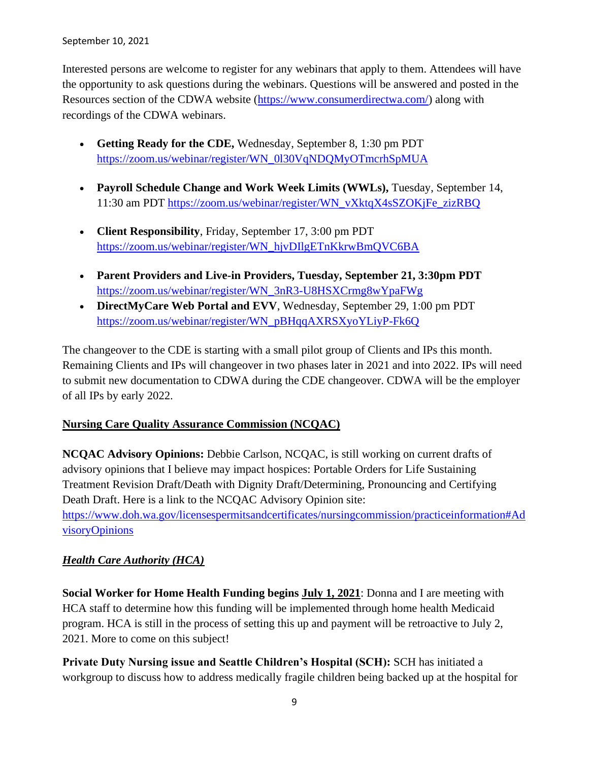Interested persons are welcome to register for any webinars that apply to them. Attendees will have the opportunity to ask questions during the webinars. Questions will be answered and posted in the Resources section of the CDWA website [\(https://www.consumerdirectwa.com/\)](https://lnks.gd/l/eyJhbGciOiJIUzI1NiJ9.eyJidWxsZXRpbl9saW5rX2lkIjoxMDEsInVyaSI6ImJwMjpjbGljayIsImJ1bGxldGluX2lkIjoiMjAyMTA5MDEuNDUzNDM5MzEiLCJ1cmwiOiJodHRwczovL2djYzAyLnNhZmVsaW5rcy5wcm90ZWN0aW9uLm91dGxvb2suY29tLz9kYXRhPTA0JTdDMDElN0NhbmdlbC5zdWxpdmFuJTQwZHNocy53YS5nb3YlN0MxZDFkY2U4YTM3OTA0NTcwY2RjZjA4ZDk2ZDU2ZjE4ZCU3QzExZDBlMjE3MjY0ZTQwMGE4YmEwNTdkY2MxMjdkNzJkJTdDMCU3QzAlN0M2Mzc2NjEwNDI0NjM4NzY5NjklN0NVbmtub3duJTdDVFdGcGJHWnNiM2Q4ZXlKV0lqb2lNQzR3TGpBd01EQWlMQ0pRSWpvaVYybHVNeklpTENKQlRpSTZJazFoYVd3aUxDSlhWQ0k2TW4wJTNEJTdDMTAwMCZyZXNlcnZlZD0wJnNkYXRhPTFBcHY4VDBNQVU3eG9tcCUyQkI2Z2x3TWklMkJHVWw3Nk1vS09Ca2N2VjNLblNVJTNEJnVybD1odHRwcyUzQSUyRiUyRnd3dy5jb25zdW1lcmRpcmVjdHdhLmNvbSUyRiUzRnV0bV9tZWRpdW0lM0RlbWFpbCUyNnV0bV9zb3VyY2UlM0Rnb3ZkZWxpdmVyeSZ1dG1fbWVkaXVtPWVtYWlsJnV0bV9zb3VyY2U9Z292ZGVsaXZlcnkifQ.Ui6XdwlWnxFC7l1VrsatIhM7uXfmVkpsZf2u3fqC2f8/s/815314662/br/111718422491-l) along with recordings of the CDWA webinars.

- **Getting Ready for the CDE,** Wednesday, September 8, 1:30 pm PDT [https://zoom.us/webinar/register/WN\\_0l30VqNDQMyOTmcrhSpMUA](https://lnks.gd/l/eyJhbGciOiJIUzI1NiJ9.eyJidWxsZXRpbl9saW5rX2lkIjoxMDIsInVyaSI6ImJwMjpjbGljayIsImJ1bGxldGluX2lkIjoiMjAyMTA5MDEuNDUzNDM5MzEiLCJ1cmwiOiJodHRwczovL2djYzAyLnNhZmVsaW5rcy5wcm90ZWN0aW9uLm91dGxvb2suY29tLz9kYXRhPTA0JTdDMDElN0NhbmdlbC5zdWxpdmFuJTQwZHNocy53YS5nb3YlN0MxZDFkY2U4YTM3OTA0NTcwY2RjZjA4ZDk2ZDU2ZjE4ZCU3QzExZDBlMjE3MjY0ZTQwMGE4YmEwNTdkY2MxMjdkNzJkJTdDMCU3QzAlN0M2Mzc2NjEwNDI0NjM4ODY4OTQlN0NVbmtub3duJTdDVFdGcGJHWnNiM2Q4ZXlKV0lqb2lNQzR3TGpBd01EQWlMQ0pRSWpvaVYybHVNeklpTENKQlRpSTZJazFoYVd3aUxDSlhWQ0k2TW4wJTNEJTdDMTAwMCZyZXNlcnZlZD0wJnNkYXRhPTl1cUZadEs0NHFaUUVqTiUyRjlFZ3ZjeXNCekVmVm82VkVKRmwlMkI5cGxSSTZVJTNEJnVybD1odHRwcyUzQSUyRiUyRnpvb20udXMlMkZ3ZWJpbmFyJTJGcmVnaXN0ZXIlMkZXTl8wbDMwVnFORFFNeU9UbWNyaFNwTVVBJTNGdXRtX21lZGl1bSUzRGVtYWlsJTI2dXRtX3NvdXJjZSUzRGdvdmRlbGl2ZXJ5JnV0bV9tZWRpdW09ZW1haWwmdXRtX3NvdXJjZT1nb3ZkZWxpdmVyeSJ9.DsGyNGhxns0DirCKajYOy1Ix8Kk63DDwVn-HM6n-59M/s/815314662/br/111718422491-l)
- **Payroll Schedule Change and Work Week Limits (WWLs),** Tuesday, September 14, 11:30 am PDT [https://zoom.us/webinar/register/WN\\_vXktqX4sSZOKjFe\\_zizRBQ](https://lnks.gd/l/eyJhbGciOiJIUzI1NiJ9.eyJidWxsZXRpbl9saW5rX2lkIjoxMDMsInVyaSI6ImJwMjpjbGljayIsImJ1bGxldGluX2lkIjoiMjAyMTA5MDEuNDUzNDM5MzEiLCJ1cmwiOiJodHRwczovL2djYzAyLnNhZmVsaW5rcy5wcm90ZWN0aW9uLm91dGxvb2suY29tLz9kYXRhPTA0JTdDMDElN0NhbmdlbC5zdWxpdmFuJTQwZHNocy53YS5nb3YlN0MxZDFkY2U4YTM3OTA0NTcwY2RjZjA4ZDk2ZDU2ZjE4ZCU3QzExZDBlMjE3MjY0ZTQwMGE4YmEwNTdkY2MxMjdkNzJkJTdDMCU3QzAlN0M2Mzc2NjEwNDI0NjM4ODY4OTQlN0NVbmtub3duJTdDVFdGcGJHWnNiM2Q4ZXlKV0lqb2lNQzR3TGpBd01EQWlMQ0pRSWpvaVYybHVNeklpTENKQlRpSTZJazFoYVd3aUxDSlhWQ0k2TW4wJTNEJTdDMTAwMCZyZXNlcnZlZD0wJnNkYXRhPSUyQjlVSjZGaVNnNGRPJTJGYVRmMG1yRkRKZjFTWSUyQjkzQ0FlQ0dvcTU1QkklMkJPayUzRCZ1cmw9aHR0cHMlM0ElMkYlMkZ6b29tLnVzJTJGd2ViaW5hciUyRnJlZ2lzdGVyJTJGV05fdlhrdHFYNHNTWk9LakZlX3ppelJCUSUzRnV0bV9tZWRpdW0lM0RlbWFpbCUyNnV0bV9zb3VyY2UlM0Rnb3ZkZWxpdmVyeSZ1dG1fbWVkaXVtPWVtYWlsJnV0bV9zb3VyY2U9Z292ZGVsaXZlcnkifQ.LAU8AeBx--KkMe50LjESReutTDozesqTqRMQ7vGgSbw/s/815314662/br/111718422491-l)
- **Client Responsibility**, Friday, September 17, 3:00 pm PDT [https://zoom.us/webinar/register/WN\\_hjvDIlgETnKkrwBmQVC6BA](https://lnks.gd/l/eyJhbGciOiJIUzI1NiJ9.eyJidWxsZXRpbl9saW5rX2lkIjoxMDQsInVyaSI6ImJwMjpjbGljayIsImJ1bGxldGluX2lkIjoiMjAyMTA5MDEuNDUzNDM5MzEiLCJ1cmwiOiJodHRwczovL2djYzAyLnNhZmVsaW5rcy5wcm90ZWN0aW9uLm91dGxvb2suY29tLz9kYXRhPTA0JTdDMDElN0NhbmdlbC5zdWxpdmFuJTQwZHNocy53YS5nb3YlN0MxZDFkY2U4YTM3OTA0NTcwY2RjZjA4ZDk2ZDU2ZjE4ZCU3QzExZDBlMjE3MjY0ZTQwMGE4YmEwNTdkY2MxMjdkNzJkJTdDMCU3QzAlN0M2Mzc2NjEwNDI0NjM4OTY4NDklN0NVbmtub3duJTdDVFdGcGJHWnNiM2Q4ZXlKV0lqb2lNQzR3TGpBd01EQWlMQ0pRSWpvaVYybHVNeklpTENKQlRpSTZJazFoYVd3aUxDSlhWQ0k2TW4wJTNEJTdDMTAwMCZyZXNlcnZlZD0wJnNkYXRhPUtKUGNCZkloSVd6STlZUzgzcDUlMkYwYSUyQkNLTHVSQSUyQiUyQkYxJTJCbVRaanAyWlVjJTNEJnVybD1odHRwcyUzQSUyRiUyRnpvb20udXMlMkZ3ZWJpbmFyJTJGcmVnaXN0ZXIlMkZXTl9oanZESWxnRVRuS2tyd0JtUVZDNkJBJTNGdXRtX21lZGl1bSUzRGVtYWlsJTI2dXRtX3NvdXJjZSUzRGdvdmRlbGl2ZXJ5JnV0bV9tZWRpdW09ZW1haWwmdXRtX3NvdXJjZT1nb3ZkZWxpdmVyeSJ9.wa2SSZkbBQ10PkT2Fj5Oa01YvNFolbHRD2-pkodEjVM/s/815314662/br/111718422491-l)
- **Parent Providers and Live-in Providers, Tuesday, September 21, 3:30pm PDT**  [https://zoom.us/webinar/register/WN\\_3nR3-U8HSXCrmg8wYpaFWg](https://lnks.gd/l/eyJhbGciOiJIUzI1NiJ9.eyJidWxsZXRpbl9saW5rX2lkIjoxMDUsInVyaSI6ImJwMjpjbGljayIsImJ1bGxldGluX2lkIjoiMjAyMTA5MDEuNDUzNDM5MzEiLCJ1cmwiOiJodHRwczovL2djYzAyLnNhZmVsaW5rcy5wcm90ZWN0aW9uLm91dGxvb2suY29tLz9kYXRhPTA0JTdDMDElN0NhbmdlbC5zdWxpdmFuJTQwZHNocy53YS5nb3YlN0MxZDFkY2U4YTM3OTA0NTcwY2RjZjA4ZDk2ZDU2ZjE4ZCU3QzExZDBlMjE3MjY0ZTQwMGE4YmEwNTdkY2MxMjdkNzJkJTdDMCU3QzAlN0M2Mzc2NjEwNDI0NjM4OTY4NDklN0NVbmtub3duJTdDVFdGcGJHWnNiM2Q4ZXlKV0lqb2lNQzR3TGpBd01EQWlMQ0pRSWpvaVYybHVNeklpTENKQlRpSTZJazFoYVd3aUxDSlhWQ0k2TW4wJTNEJTdDMTAwMCZyZXNlcnZlZD0wJnNkYXRhPSUyRnhoS1lIRVBSWjRRSFFHQTNQS0NtNm1vNkhWdWZiNnhabHdldHNZU1VXWSUzRCZ1cmw9aHR0cHMlM0ElMkYlMkZ6b29tLnVzJTJGd2ViaW5hciUyRnJlZ2lzdGVyJTJGV05fM25SMy1VOEhTWENybWc4d1lwYUZXZyUzRnV0bV9tZWRpdW0lM0RlbWFpbCUyNnV0bV9zb3VyY2UlM0Rnb3ZkZWxpdmVyeSZ1dG1fbWVkaXVtPWVtYWlsJnV0bV9zb3VyY2U9Z292ZGVsaXZlcnkifQ.JbvC-OjDZAUMM2itnHwCwRQ-s2uA6pBbWto_edsYBPw/s/815314662/br/111718422491-l)
- **DirectMyCare Web Portal and EVV**, Wednesday, September 29, 1:00 pm PDT [https://zoom.us/webinar/register/WN\\_pBHqqAXRSXyoYLiyP-Fk6Q](https://lnks.gd/l/eyJhbGciOiJIUzI1NiJ9.eyJidWxsZXRpbl9saW5rX2lkIjoxMDYsInVyaSI6ImJwMjpjbGljayIsImJ1bGxldGluX2lkIjoiMjAyMTA5MDEuNDUzNDM5MzEiLCJ1cmwiOiJodHRwczovL2djYzAyLnNhZmVsaW5rcy5wcm90ZWN0aW9uLm91dGxvb2suY29tLz9kYXRhPTA0JTdDMDElN0NhbmdlbC5zdWxpdmFuJTQwZHNocy53YS5nb3YlN0MxZDFkY2U4YTM3OTA0NTcwY2RjZjA4ZDk2ZDU2ZjE4ZCU3QzExZDBlMjE3MjY0ZTQwMGE4YmEwNTdkY2MxMjdkNzJkJTdDMCU3QzAlN0M2Mzc2NjEwNDI0NjM4OTY4NDklN0NVbmtub3duJTdDVFdGcGJHWnNiM2Q4ZXlKV0lqb2lNQzR3TGpBd01EQWlMQ0pRSWpvaVYybHVNeklpTENKQlRpSTZJazFoYVd3aUxDSlhWQ0k2TW4wJTNEJTdDMTAwMCZyZXNlcnZlZD0wJnNkYXRhPXMwWnhJdHQ4OE9rNTRMMUlIek1YWlZOempTNDA1eVZYRGdMTGZSb0lrT2MlM0QmdXJsPWh0dHBzJTNBJTJGJTJGem9vbS51cyUyRndlYmluYXIlMkZyZWdpc3RlciUyRldOX3BCSHFxQVhSU1h5b1lMaXlQLUZrNlElM0Z1dG1fbWVkaXVtJTNEZW1haWwlMjZ1dG1fc291cmNlJTNEZ292ZGVsaXZlcnkmdXRtX21lZGl1bT1lbWFpbCZ1dG1fc291cmNlPWdvdmRlbGl2ZXJ5In0.JVLyRHhOAnmSbqLR1b14IPTbGZR39P6splEbm6kLX24/s/815314662/br/111718422491-l)

The changeover to the CDE is starting with a small pilot group of Clients and IPs this month. Remaining Clients and IPs will changeover in two phases later in 2021 and into 2022. IPs will need to submit new documentation to CDWA during the CDE changeover. CDWA will be the employer of all IPs by early 2022.

### **Nursing Care Quality Assurance Commission (NCQAC)**

**NCQAC Advisory Opinions:** Debbie Carlson, NCQAC, is still working on current drafts of advisory opinions that I believe may impact hospices: Portable Orders for Life Sustaining Treatment Revision Draft/Death with Dignity Draft/Determining, Pronouncing and Certifying Death Draft. Here is a link to the NCQAC Advisory Opinion site: [https://www.doh.wa.gov/licensespermitsandcertificates/nursingcommission/practiceinformation#Ad](https://www.doh.wa.gov/licensespermitsandcertificates/nursingcommission/practiceinformation#AdvisoryOpinions) [visoryOpinions](https://www.doh.wa.gov/licensespermitsandcertificates/nursingcommission/practiceinformation#AdvisoryOpinions)

## *Health Care Authority (HCA)*

**Social Worker for Home Health Funding begins July 1, 2021**: Donna and I are meeting with HCA staff to determine how this funding will be implemented through home health Medicaid program. HCA is still in the process of setting this up and payment will be retroactive to July 2, 2021. More to come on this subject!

**Private Duty Nursing issue and Seattle Children's Hospital (SCH):** SCH has initiated a workgroup to discuss how to address medically fragile children being backed up at the hospital for